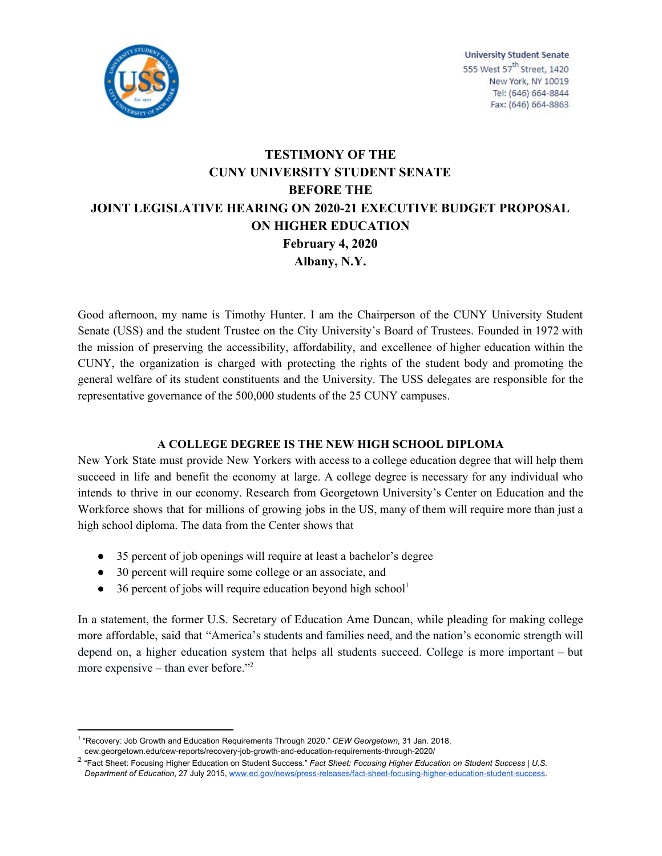

# **TESTIMONY OF THE CUNY UNIVERSITY STUDENT SENATE BEFORE THE JOINT LEGISLATIVE HEARING ON 2020-21 EXECUTIVE BUDGET PROPOSAL ON HIGHER EDUCATION February 4, 2020 Albany, N.Y.**

Good afternoon, my name is Timothy Hunter. I am the Chairperson of the CUNY University Student Senate (USS) and the student Trustee on the City University's Board of Trustees. Founded in 1972 with the mission of preserving the accessibility, affordability, and excellence of higher education within the CUNY, the organization is charged with protecting the rights of the student body and promoting the general welfare of its student constituents and the University. The USS delegates are responsible for the representative governance of the 500,000 students of the 25 CUNY campuses.

## **A COLLEGE DEGREE IS THE NEW HIGH SCHOOL DIPLOMA**

New York State must provide New Yorkers with access to a college education degree that will help them succeed in life and benefit the economy at large. A college degree is necessary for any individual who intends to thrive in our economy. Research from Georgetown University's Center on Education and the Workforce shows that for millions of growing jobs in the US, many of them will require more than just a high school diploma. The data from the Center shows that

- 35 percent of job openings will require at least a bachelor's degree
- 30 percent will require some college or an associate, and
- 36 percent of jobs will require education beyond high school<sup>1</sup>

In a statement, the former U.S. Secretary of Education Ame Duncan, while pleading for making college more affordable, said that "America's students and families need, and the nation's economic strength will depend on, a higher education system that helps all students succeed. College is more important – but more expensive – than ever before."<sup>2</sup>

<sup>&</sup>lt;sup>1</sup> "Recovery: Job Growth and Education Requirements Through 2020." *CEW Georgetown*, 31 Jan. 2018, cew.georgetown.edu/cew-reports/recovery-job-growth-and-education-requirements-through-2020/

<sup>2</sup> "Fact Sheet: Focusing Higher Education on Student Success." *Fact Sheet: Focusing Higher Education on Student Success | U.S. Department of Education*, 27 July 2015, [www.ed.gov/news/press-releases/fact-sheet-focusing-higher-education-student-success](http://www.ed.gov/news/press-releases/fact-sheet-focusing-higher-education-student-success).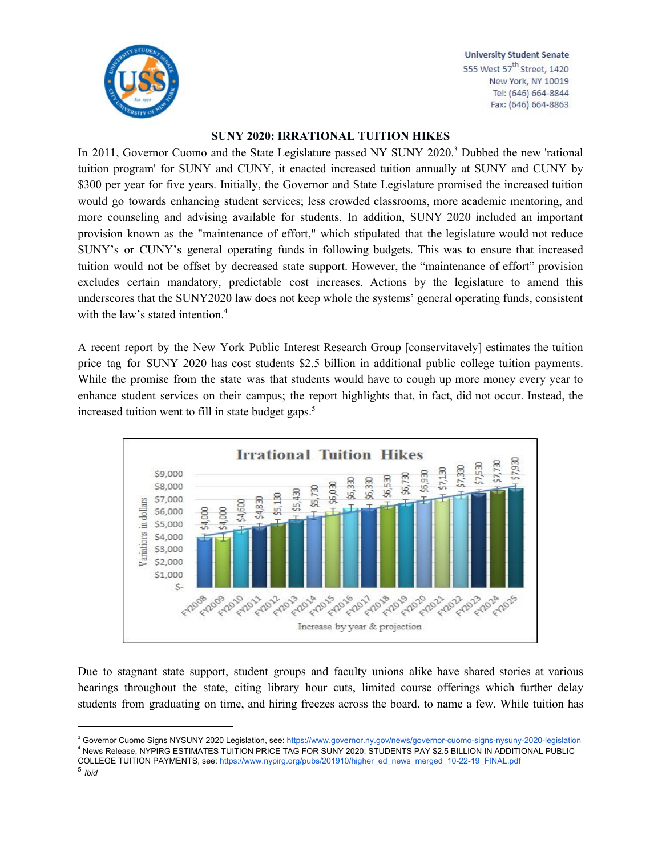

## **SUNY 2020: IRRATIONAL TUITION HIKES**

In 2011, Governor Cuomo and the State Legislature passed NY SUNY 2020.<sup>3</sup> Dubbed the new 'rational tuition program' for SUNY and CUNY, it enacted increased tuition annually at SUNY and CUNY by \$300 per year for five years. Initially, the Governor and State Legislature promised the increased tuition would go towards enhancing student services; less crowded classrooms, more academic mentoring, and more counseling and advising available for students. In addition, SUNY 2020 included an important provision known as the "maintenance of effort," which stipulated that the legislature would not reduce SUNY's or CUNY's general operating funds in following budgets. This was to ensure that increased tuition would not be offset by decreased state support. However, the "maintenance of effort" provision excludes certain mandatory, predictable cost increases. Actions by the legislature to amend this underscores that the SUNY2020 law does not keep whole the systems' general operating funds, consistent with the law's stated intention. 4

A recent report by the New York Public Interest Research Group [conservitavely] estimates the tuition price tag for SUNY 2020 has cost students \$2.5 billion in additional public college tuition payments. While the promise from the state was that students would have to cough up more money every year to enhance student services on their campus; the report highlights that, in fact, did not occur. Instead, the increased tuition went to fill in state budget gaps. 5



Due to stagnant state support, student groups and faculty unions alike have shared stories at various hearings throughout the state, citing library hour cuts, limited course offerings which further delay students from graduating on time, and hiring freezes across the board, to name a few. While tuition has

<sup>&</sup>lt;sup>3</sup> Governor Cuomo Signs NYSUNY 2020 Legislation, see: <https://www.governor.ny.gov/news/governor-cuomo-signs-nysuny-2020-legislation> 4 News Release, NYPIRG ESTIMATES TUITION PRICE TAG FOR SUNY 2020: STUDENTS PAY \$2.5 BILLION IN ADDITIONAL PUBLIC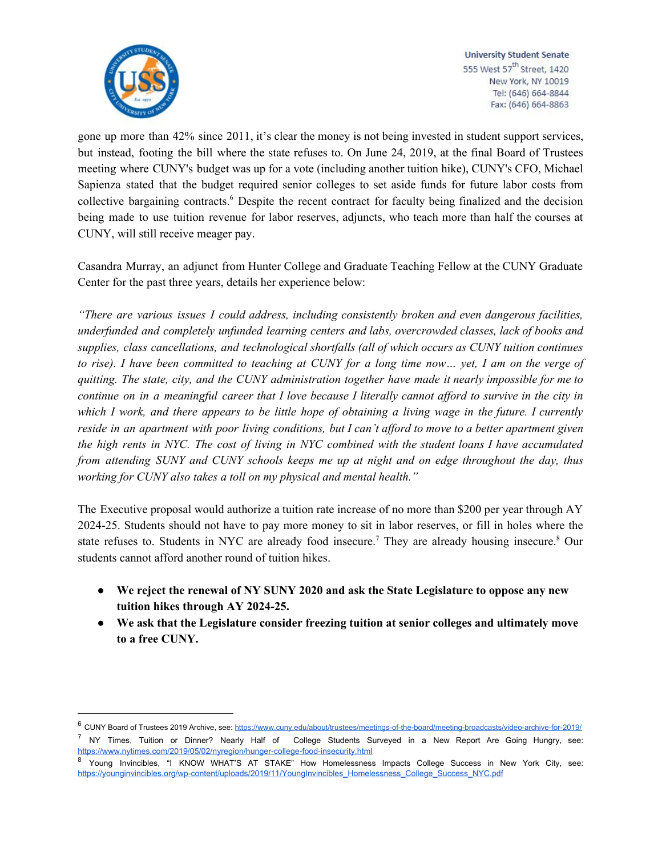

gone up more than 42% since 2011, it's clear the money is not being invested in student support services, but instead, footing the bill where the state refuses to. On June 24, 2019, at the final Board of Trustees meeting where CUNY's budget was up for a vote (including another tuition hike), CUNY's CFO, Michael Sapienza stated that the budget required senior colleges to set aside funds for future labor costs from collective bargaining contracts.<sup>6</sup> Despite the recent contract for faculty being finalized and the decision being made to use tuition revenue for labor reserves, adjuncts, who teach more than half the courses at CUNY, will still receive meager pay.

Casandra Murray, an adjunct from Hunter College and Graduate Teaching Fellow at the CUNY Graduate Center for the past three years, details her experience below:

*"There are various issues I could address, including consistently broken and even dangerous facilities, underfunded and completely unfunded learning centers and labs, overcrowded classes, lack of books and supplies, class cancellations, and technological shortfalls (all of which occurs as CUNY tuition continues* to rise). I have been committed to teaching at CUNY for a long time now... yet, I am on the verge of *quitting. The state, city, and the CUNY administration together have made it nearly impossible for me to* continue on in a meaningful career that I love because I literally cannot afford to survive in the city in which I work, and there appears to be little hope of obtaining a living wage in the future. I currently reside in an apartment with poor living conditions, but I can't afford to move to a better apartment given the high rents in NYC. The cost of living in NYC combined with the student loans I have accumulated *from attending SUNY and CUNY schools keeps me up at night and on edge throughout the day, thus working for CUNY also takes a toll on my physical and mental health."*

The Executive proposal would authorize a tuition rate increase of no more than \$200 per year through AY 2024-25. Students should not have to pay more money to sit in labor reserves, or fill in holes where the state refuses to. Students in NYC are already food insecure.<sup>7</sup> They are already housing insecure.<sup>8</sup> Our students cannot afford another round of tuition hikes.

- **● We reject the renewal of NY SUNY 2020 and ask the State Legislature to oppose any new tuition hikes through AY 2024-25.**
- **● We ask that the Legislature consider freezing tuition at senior colleges and ultimately move to a free CUNY.**

<sup>7</sup> NY Times, Tuition or Dinner? Nearly Half of College Students Surveyed in a New Report Are Going Hungry, see: <https://www.nytimes.com/2019/05/02/nyregion/hunger-college-food-insecurity.html>

<sup>6</sup> CUNY Board of Trustees 2019 Archive, see: <https://www.cuny.edu/about/trustees/meetings-of-the-board/meeting-broadcasts/video-archive-for-2019/>

<sup>&</sup>lt;sup>8</sup> Young Invincibles, "I KNOW WHAT'S AT STAKE" How Homelessness Impacts College Success in New York City, see: https://vounginvincibles.org/wp-content/uploads/2019/11/YoungInvincibles\_Homelessness\_College\_Success\_NYC.pdf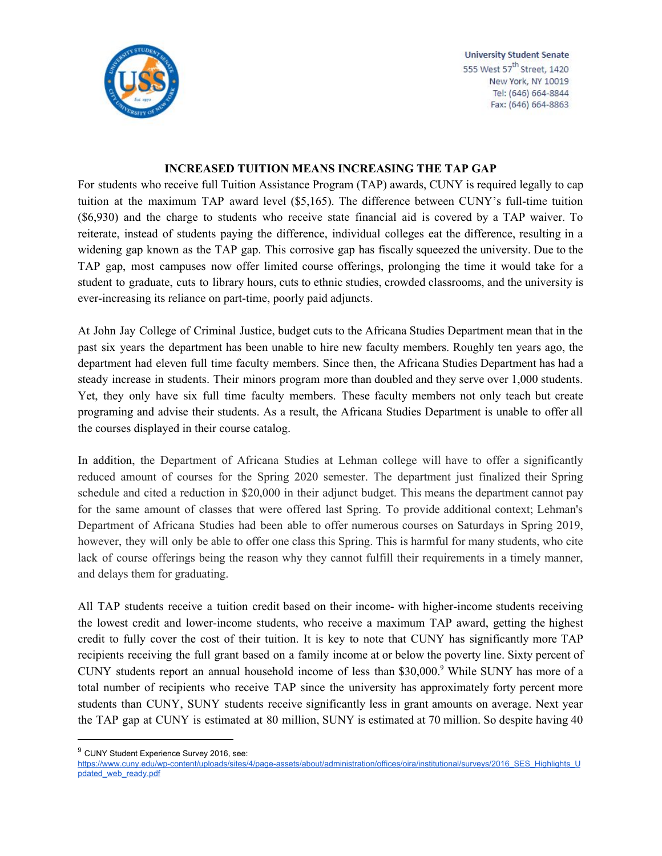

#### **INCREASED TUITION MEANS INCREASING THE TAP GAP**

For students who receive full Tuition Assistance Program (TAP) awards, CUNY is required legally to cap tuition at the maximum TAP award level (\$5,165). The difference between CUNY's full-time tuition (\$6,930) and the charge to students who receive state financial aid is covered by a TAP waiver. To reiterate, instead of students paying the difference, individual colleges eat the difference, resulting in a widening gap known as the TAP gap. This corrosive gap has fiscally squeezed the university. Due to the TAP gap, most campuses now offer limited course offerings, prolonging the time it would take for a student to graduate, cuts to library hours, cuts to ethnic studies, crowded classrooms, and the university is ever-increasing its reliance on part-time, poorly paid adjuncts.

At John Jay College of Criminal Justice, budget cuts to the Africana Studies Department mean that in the past six years the department has been unable to hire new faculty members. Roughly ten years ago, the department had eleven full time faculty members. Since then, the Africana Studies Department has had a steady increase in students. Their minors program more than doubled and they serve over 1,000 students. Yet, they only have six full time faculty members. These faculty members not only teach but create programing and advise their students. As a result, the Africana Studies Department is unable to offer all the courses displayed in their course catalog.

In addition, the Department of Africana Studies at Lehman college will have to offer a significantly reduced amount of courses for the Spring 2020 semester. The department just finalized their Spring schedule and cited a reduction in \$20,000 in their adjunct budget. This means the department cannot pay for the same amount of classes that were offered last Spring. To provide additional context; Lehman's Department of Africana Studies had been able to offer numerous courses on Saturdays in Spring 2019, however, they will only be able to offer one class this Spring. This is harmful for many students, who cite lack of course offerings being the reason why they cannot fulfill their requirements in a timely manner, and delays them for graduating.

All TAP students receive a tuition credit based on their income- with higher-income students receiving the lowest credit and lower-income students, who receive a maximum TAP award, getting the highest credit to fully cover the cost of their tuition. It is key to note that CUNY has significantly more TAP recipients receiving the full grant based on a family income at or below the poverty line. Sixty percent of CUNY students report an annual household income of less than \$30,000.<sup>9</sup> While SUNY has more of a total number of recipients who receive TAP since the university has approximately forty percent more students than CUNY, SUNY students receive significantly less in grant amounts on average. Next year the TAP gap at CUNY is estimated at 80 million, SUNY is estimated at 70 million. So despite having 40

<sup>&</sup>lt;sup>9</sup> CUNY Student Experience Survey 2016, see:

https://www.cuny.edu/wp-content/uploads/sites/4/page-assets/about/administration/offices/oira/institutional/surveys/2016 SES\_Highlights\_U [pdated\\_web\\_ready.pdf](https://www.cuny.edu/wp-content/uploads/sites/4/page-assets/about/administration/offices/oira/institutional/surveys/2016_SES_Highlights_Updated_web_ready.pdf)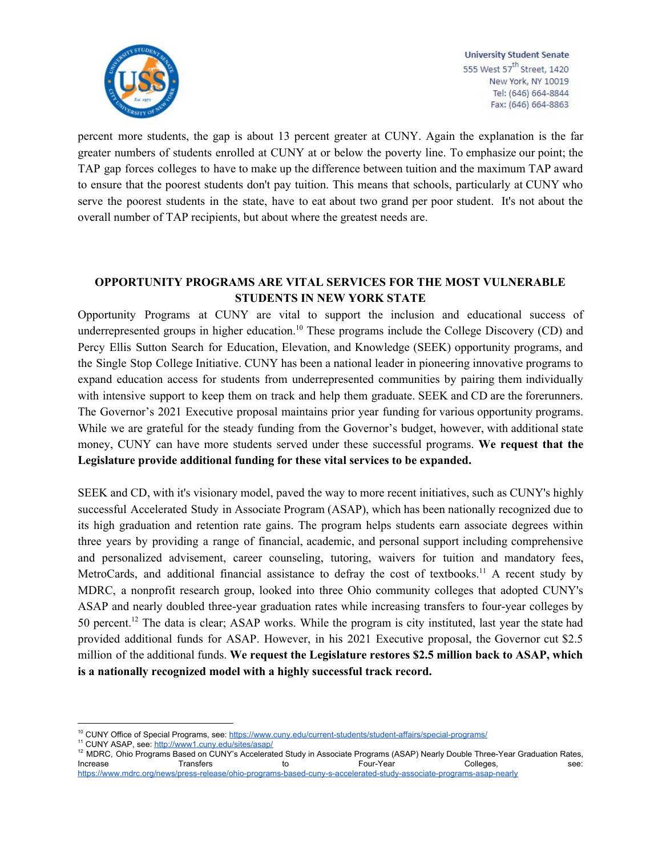

percent more students, the gap is about 13 percent greater at CUNY. Again the explanation is the far greater numbers of students enrolled at CUNY at or below the poverty line. To emphasize our point; the TAP gap forces colleges to have to make up the difference between tuition and the maximum TAP award to ensure that the poorest students don't pay tuition. This means that schools, particularly at CUNY who serve the poorest students in the state, have to eat about two grand per poor student. It's not about the overall number of TAP recipients, but about where the greatest needs are.

## **OPPORTUNITY PROGRAMS ARE VITAL SERVICES FOR THE MOST VULNERABLE STUDENTS IN NEW YORK STATE**

Opportunity Programs at CUNY are vital to support the inclusion and educational success of underrepresented groups in higher education.<sup>10</sup> These programs include the College Discovery (CD) and Percy Ellis Sutton Search for Education, Elevation, and Knowledge (SEEK) opportunity programs, and the Single Stop College Initiative. CUNY has been a national leader in pioneering innovative programs to expand education access for students from underrepresented communities by pairing them individually with intensive support to keep them on track and help them graduate. SEEK and CD are the forerunners. The Governor's 2021 Executive proposal maintains prior year funding for various opportunity programs. While we are grateful for the steady funding from the Governor's budget, however, with additional state money, CUNY can have more students served under these successful programs. **We request that the Legislature provide additional funding for these vital services to be expanded.**

SEEK and CD, with it's visionary model, paved the way to more recent initiatives, such as CUNY's highly successful Accelerated Study in Associate Program (ASAP), which has been nationally recognized due to its high graduation and retention rate gains. The program helps students earn associate degrees within three years by providing a range of financial, academic, and personal support including comprehensive and personalized advisement, career counseling, tutoring, waivers for tuition and mandatory fees, MetroCards, and additional financial assistance to defray the cost of textbooks.<sup>11</sup> A recent study by MDRC, a nonprofit research group, looked into three Ohio community colleges that adopted CUNY's ASAP and nearly doubled three-year graduation rates while increasing transfers to four-year colleges by 50 percent.<sup>12</sup> The data is clear; ASAP works. While the program is city instituted, last year the state had provided additional funds for ASAP. However, in his 2021 Executive proposal, the Governor cut \$2.5 million of the additional funds. **We request the Legislature restores \$2.5 million back to ASAP, which is a nationally recognized model with a highly successful track record.**

<sup>&</sup>lt;sup>10</sup> CUNY Office of Special Programs, see: <https://www.cuny.edu/current-students/student-affairs/special-programs/>

<sup>11</sup> CUNY ASAP, see:<http://www1.cuny.edu/sites/asap/>

<sup>&</sup>lt;sup>12</sup> MDRC, Ohio Programs Based on CUNY's Accelerated Study in Associate Programs (ASAP) Nearly Double Three-Year Graduation Rates, Increase Transfers to to Four-Year Colleges, see: <https://www.mdrc.org/news/press-release/ohio-programs-based-cuny-s-accelerated-study-associate-programs-asap-nearly>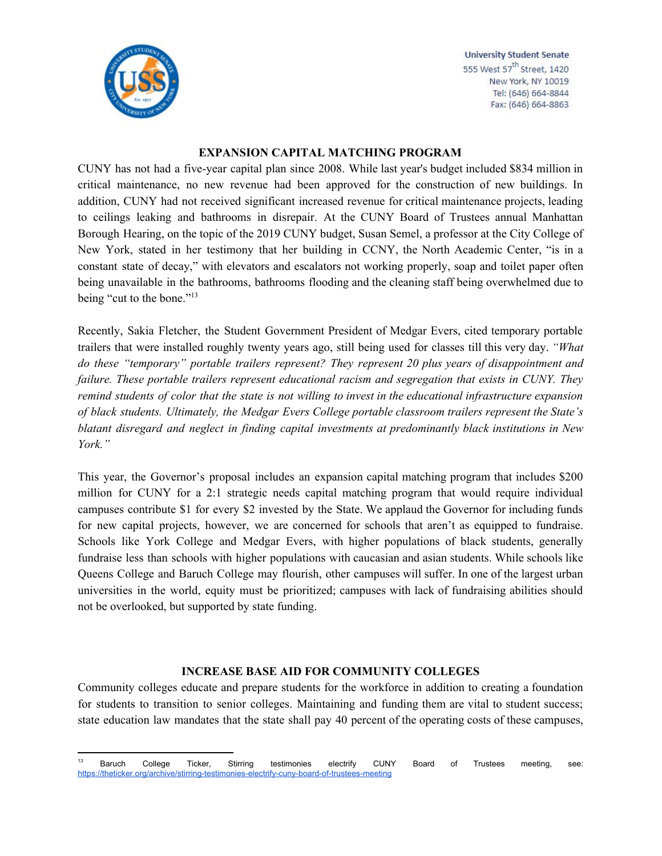

#### **EXPANSION CAPITAL MATCHING PROGRAM**

CUNY has not had a five-year capital plan since 2008. While last year's budget included \$834 million in critical maintenance, no new revenue had been approved for the construction of new buildings. In addition, CUNY had not received significant increased revenue for critical maintenance projects, leading to ceilings leaking and bathrooms in disrepair. At the CUNY Board of Trustees annual Manhattan Borough Hearing, on the topic of the 2019 CUNY budget, Susan Semel, a professor at the City College of New York, stated in her testimony that her building in CCNY, the North Academic Center, "is in a constant state of decay," with elevators and escalators not working properly, soap and toilet paper often being unavailable in the bathrooms, bathrooms flooding and the cleaning staff being overwhelmed due to being "cut to the bone." 13

Recently, Sakia Fletcher, the Student Government President of Medgar Evers, cited temporary portable trailers that were installed roughly twenty years ago, still being used for classes till this very day. *"What do these "temporary" portable trailers represent? They represent 20 plus years of disappointment and failure. These portable trailers represent educational racism and segregation that exists in CUNY. They* remind students of color that the state is not willing to invest in the educational infrastructure expansion *of black students. Ultimately, the Medgar Evers College portable classroom trailers represent the State's blatant disregard and neglect in finding capital investments at predominantly black institutions in New York."*

This year, the Governor's proposal includes an expansion capital matching program that includes \$200 million for CUNY for a 2:1 strategic needs capital matching program that would require individual campuses contribute \$1 for every \$2 invested by the State. We applaud the Governor for including funds for new capital projects, however, we are concerned for schools that aren't as equipped to fundraise. Schools like York College and Medgar Evers, with higher populations of black students, generally fundraise less than schools with higher populations with caucasian and asian students. While schools like Queens College and Baruch College may flourish, other campuses will suffer. In one of the largest urban universities in the world, equity must be prioritized; campuses with lack of fundraising abilities should not be overlooked, but supported by state funding.

## **INCREASE BASE AID FOR COMMUNITY COLLEGES**

Community colleges educate and prepare students for the workforce in addition to creating a foundation for students to transition to senior colleges. Maintaining and funding them are vital to student success; state education law mandates that the state shall pay 40 percent of the operating costs of these campuses,

<sup>&</sup>lt;sup>13</sup> Baruch College Ticker, Stirring testimonies electrify CUNY Board of Trustees meeting, see: <https://theticker.org/archive/stirring-testimonies-electrify-cuny-board-of-trustees-meeting>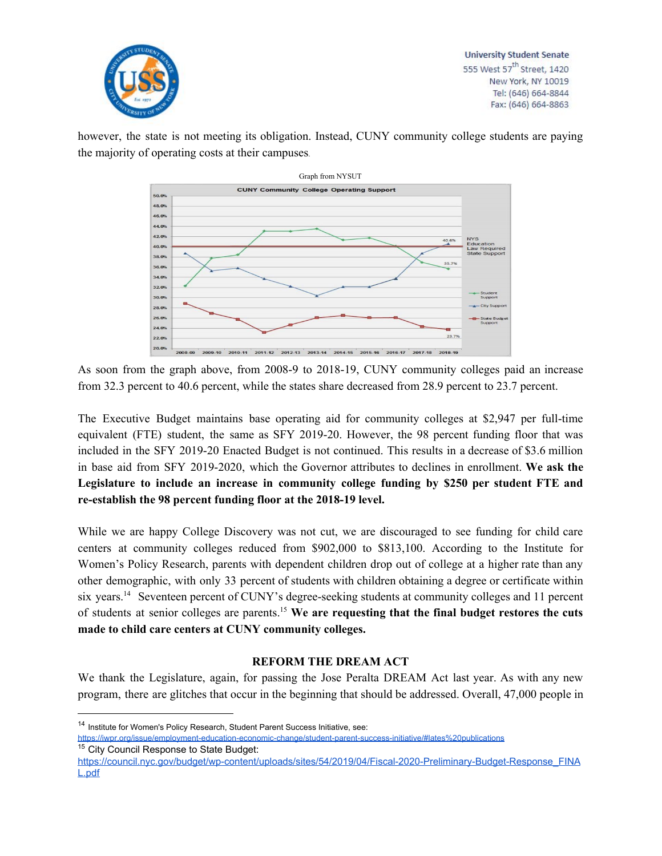

however, the state is not meeting its obligation. Instead, CUNY community college students are paying the majority of operating costs at their campuses.



As soon from the graph above, from 2008-9 to 2018-19, CUNY community colleges paid an increase from 32.3 percent to 40.6 percent, while the states share decreased from 28.9 percent to 23.7 percent.

The Executive Budget maintains base operating aid for community colleges at \$2,947 per full-time equivalent (FTE) student, the same as SFY 2019-20. However, the 98 percent funding floor that was included in the SFY 2019-20 Enacted Budget is not continued. This results in a decrease of \$3.6 million in base aid from SFY 2019-2020, which the Governor attributes to declines in enrollment. **We ask the Legislature to include an increase in community college funding by \$250 per student FTE and re-establish the 98 percent funding floor at the 2018-19 level.**

While we are happy College Discovery was not cut, we are discouraged to see funding for child care centers at community colleges reduced from \$902,000 to \$813,100. According to the Institute for Women's Policy Research, parents with dependent children drop out of college at a higher rate than any other demographic, with only 33 percent of students with children obtaining a degree or certificate within six years.<sup>14</sup> Seventeen percent of CUNY's degree-seeking students at community colleges and 11 percent of students at senior colleges are parents. **We are requesting that the final budget restores the cuts** 15 **made to child care centers at CUNY community colleges.**

## **REFORM THE DREAM ACT**

We thank the Legislature, again, for passing the Jose Peralta DREAM Act last year. As with any new program, there are glitches that occur in the beginning that should be addressed. Overall, 47,000 people in

<sup>&</sup>lt;sup>14</sup> Institute for Women's Policy Research, Student Parent Success Initiative, see:

<https://iwpr.org/issue/employment-education-economic-change/student-parent-success-initiative/#lates%20publications> <sup>15</sup> City Council Response to State Budget:

[https://council.nyc.gov/budget/wp-content/uploads/sites/54/2019/04/Fiscal-2020-Preliminary-Budget-Response\\_FINA](https://council.nyc.gov/budget/wp-content/uploads/sites/54/2019/04/Fiscal-2020-Preliminary-Budget-Response_FINAL.pdf) [L.pdf](https://council.nyc.gov/budget/wp-content/uploads/sites/54/2019/04/Fiscal-2020-Preliminary-Budget-Response_FINAL.pdf)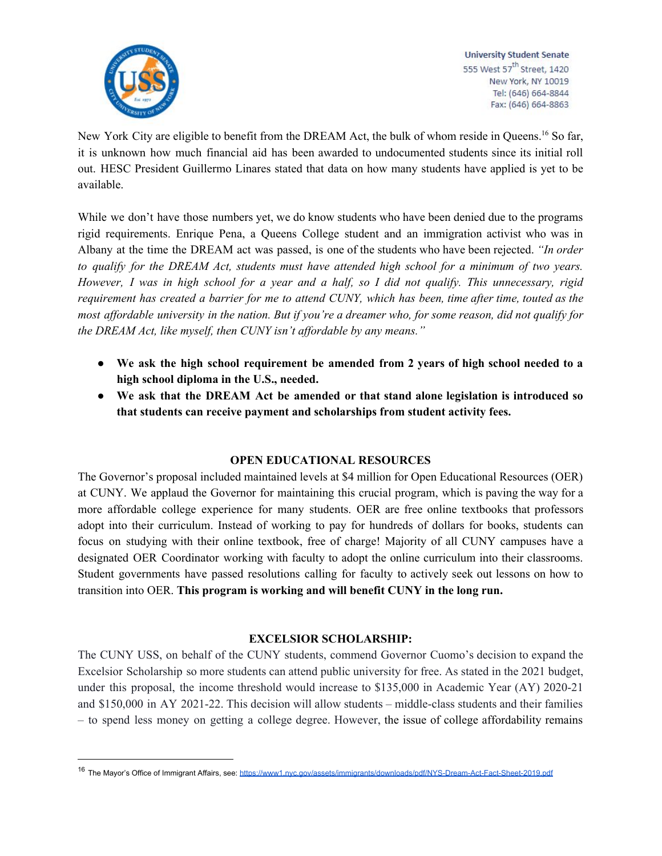

New York City are eligible to benefit from the DREAM Act, the bulk of whom reside in Queens.<sup>16</sup> So far, it is unknown how much financial aid has been awarded to undocumented students since its initial roll out. HESC President Guillermo Linares stated that data on how many students have applied is yet to be available.

While we don't have those numbers yet, we do know students who have been denied due to the programs rigid requirements. Enrique Pena, a Queens College student and an immigration activist who was in Albany at the time the DREAM act was passed, is one of the students who have been rejected. *"In order to qualify for the DREAM Act, students must have attended high school for a minimum of two years.* However, I was in high school for a year and a half, so I did not qualify. This unnecessary, rigid requirement has created a barrier for me to attend CUNY, which has been, time after time, touted as the most affordable university in the nation. But if you're a dreamer who, for some reason, did not qualify for *the DREAM Act, like myself, then CUNY isn't af ordable by any means."*

- **● We ask the high school requirement be amended from 2 years of high school needed to a high school diploma in the U.S., needed.**
- **● We ask that the DREAM Act be amended or that stand alone legislation is introduced so that students can receive payment and scholarships from student activity fees.**

# **OPEN EDUCATIONAL RESOURCES**

The Governor's proposal included maintained levels at \$4 million for Open Educational Resources (OER) at CUNY. We applaud the Governor for maintaining this crucial program, which is paving the way for a more affordable college experience for many students. OER are free online textbooks that professors adopt into their curriculum. Instead of working to pay for hundreds of dollars for books, students can focus on studying with their online textbook, free of charge! Majority of all CUNY campuses have a designated OER Coordinator working with faculty to adopt the online curriculum into their classrooms. Student governments have passed resolutions calling for faculty to actively seek out lessons on how to transition into OER. **This program is working and will benefit CUNY in the long run.**

## **EXCELSIOR SCHOLARSHIP:**

The CUNY USS, on behalf of the CUNY students, commend Governor Cuomo's decision to expand the Excelsior Scholarship so more students can attend public university for free. As stated in the 2021 budget, under this proposal, the income threshold would increase to \$135,000 in Academic Year (AY) 2020-21 and \$150,000 in AY 2021-22. This decision will allow students – middle-class students and their families – to spend less money on getting a college degree. However, the issue of college affordability remains

<sup>16</sup> The Mayor's Office of Immigrant Affairs, see: <https://www1.nyc.gov/assets/immigrants/downloads/pdf/NYS-Dream-Act-Fact-Sheet-2019.pdf>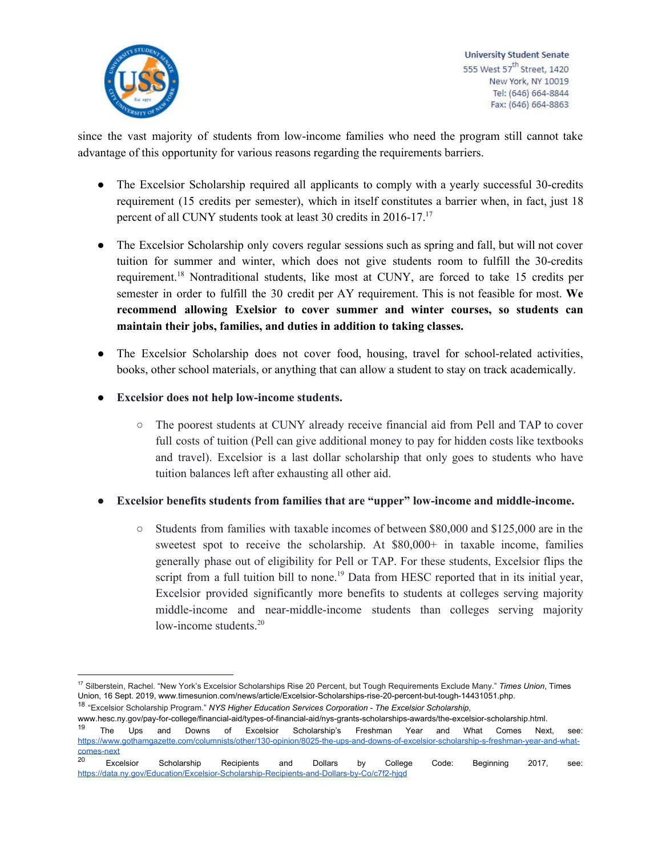

since the vast majority of students from low-income families who need the program still cannot take advantage of this opportunity for various reasons regarding the requirements barriers.

- The Excelsior Scholarship required all applicants to comply with a yearly successful 30-credits requirement (15 credits per semester), which in itself constitutes a barrier when, in fact, just 18 percent of all CUNY students took at least 30 credits in 2016-17.<sup>17</sup>
- The Excelsior Scholarship only covers regular sessions such as spring and fall, but will not cover tuition for summer and winter, which does not give students room to fulfill the 30-credits requirement.<sup>18</sup> Nontraditional students, like most at CUNY, are forced to take 15 credits per semester in order to fulfill the 30 credit per AY requirement. This is not feasible for most. **We recommend allowing Exelsior to cover summer and winter courses, so students can maintain their jobs, families, and duties in addition to taking classes.**
- The Excelsior Scholarship does not cover food, housing, travel for school-related activities, books, other school materials, or anything that can allow a student to stay on track academically.
- **Excelsior does not help low-income students.**
	- The poorest students at CUNY already receive financial aid from Pell and TAP to cover full costs of tuition (Pell can give additional money to pay for hidden costs like textbooks and travel). Excelsior is a last dollar scholarship that only goes to students who have tuition balances left after exhausting all other aid.
- **Excelsior benefits students from families that are "upper" low-income and middle-income.**
	- $\circ$  Students from families with taxable incomes of between \$80,000 and \$125,000 are in the sweetest spot to receive the scholarship. At  $$80,000+$  in taxable income, families generally phase out of eligibility for Pell or TAP. For these students, Excelsior flips the script from a full tuition bill to none.<sup>19</sup> Data from HESC reported that in its initial year, Excelsior provided significantly more benefits to students at colleges serving majority middle-income and near-middle-income students than colleges serving majority low-income students.<sup>20</sup>

<sup>17</sup> Silberstein, Rachel. "New York's Excelsior Scholarships Rise 20 Percent, but Tough Requirements Exclude Many." *Times Union*, Times Union, 16 Sept. 2019, www.timesunion.com/news/article/Excelsior-Scholarships-rise-20-percent-but-tough-14431051.php. <sup>18</sup> "Excelsior Scholarship Program." *NYS Higher Education Services Corporation - The Excelsior Scholarship*,

www.hesc.ny.gov/pay-for-college/financial-aid/types-of-financial-aid/nys-grants-scholarships-awards/the-excelsior-scholarship.html.

<sup>&</sup>lt;sup>19</sup> The Ups and Downs of Excelsior Scholarship's Freshman Year and What Comes Next, see: [https://www.gothamgazette.com/columnists/other/130-opinion/8025-the-ups-and-downs-of-excelsior-scholarship-s-freshman-year-and-what](https://www.gothamgazette.com/columnists/other/130-opinion/8025-the-ups-and-downs-of-excelsior-scholarship-s-freshman-year-and-what-comes-next)[comes-next](https://www.gothamgazette.com/columnists/other/130-opinion/8025-the-ups-and-downs-of-excelsior-scholarship-s-freshman-year-and-what-comes-next)<br>20

<sup>&</sup>lt;sup>20</sup> Excelsior Scholarship Recipients and Dollars by College Code: Beginning 2017, see: <https://data.ny.gov/Education/Excelsior-Scholarship-Recipients-and-Dollars-by-Co/c7f2-hjqd>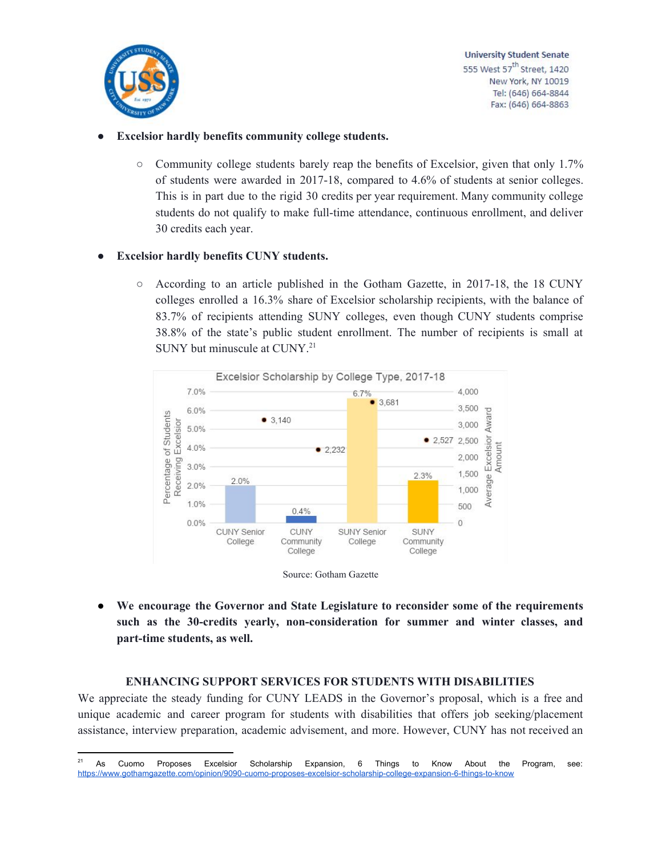

## **● Excelsior hardly benefits community college students.**

 $\circ$  Community college students barely reap the benefits of Excelsior, given that only 1.7% of students were awarded in 2017-18, compared to 4.6% of students at senior colleges. This is in part due to the rigid 30 credits per year requirement. Many community college students do not qualify to make full-time attendance, continuous enrollment, and deliver 30 credits each year.

#### **● Excelsior hardly benefits CUNY students.**

○ According to an article published in the Gotham Gazette, in 2017-18, the 18 CUNY colleges enrolled a 16.3% share of Excelsior scholarship recipients, with the balance of 83.7% of recipients attending SUNY colleges, even though CUNY students comprise 38.8% of the state's public student enrollment. The number of recipients is small at SUNY but minuscule at CUNY. 21



**● We encourage the Governor and State Legislature to reconsider some of the requirements such as the 30-credits yearly, non-consideration for summer and winter classes, and part-time students, as well.**

#### **ENHANCING SUPPORT SERVICES FOR STUDENTS WITH DISABILITIES**

We appreciate the steady funding for CUNY LEADS in the Governor's proposal, which is a free and unique academic and career program for students with disabilities that offers job seeking/placement assistance, interview preparation, academic advisement, and more. However, CUNY has not received an

<sup>&</sup>lt;sup>21</sup> As Cuomo Proposes Excelsior Scholarship Expansion, 6 Things to Know About the Program, see: <https://www.gothamgazette.com/opinion/9090-cuomo-proposes-excelsior-scholarship-college-expansion-6-things-to-know>